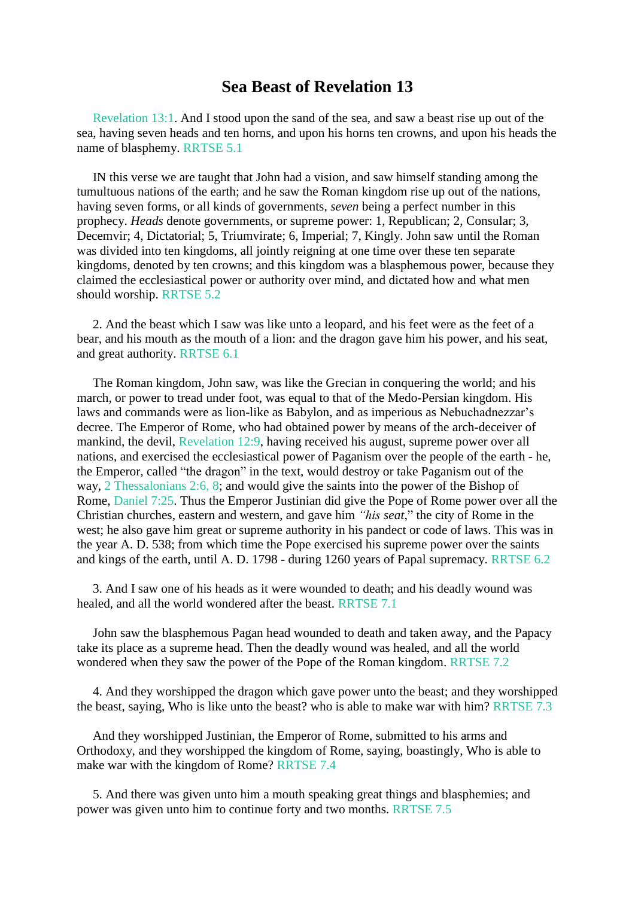## **Sea Beast of Revelation 13**

[Revelation](https://m.egwwritings.org/en/book/1965.63067#63067) 13:1. And I stood upon the sand of the sea, and saw a beast rise up out of the sea, having seven heads and ten horns, and upon his horns ten crowns, and upon his heads the name of blasphemy. RRTSE 5.1

IN this verse we are taught that John had a vision, and saw himself standing among the tumultuous nations of the earth; and he saw the Roman kingdom rise up out of the nations, having seven forms, or all kinds of governments, *seven* being a perfect number in this prophecy. *Heads* denote governments, or supreme power: 1, Republican; 2, Consular; 3, Decemvir; 4, Dictatorial; 5, Triumvirate; 6, Imperial; 7, Kingly. John saw until the Roman was divided into ten kingdoms, all jointly reigning at one time over these ten separate kingdoms, denoted by ten crowns; and this kingdom was a blasphemous power, because they claimed the ecclesiastical power or authority over mind, and dictated how and what men should worship. RRTSE 5.2

2. And the beast which I saw was like unto a leopard, and his feet were as the feet of a bear, and his mouth as the mouth of a lion: and the dragon gave him his power, and his seat, and great authority. RRTSE 6.1

The Roman kingdom, John saw, was like the Grecian in conquering the world; and his march, or power to tread under foot, was equal to that of the Medo-Persian kingdom. His laws and commands were as lion-like as Babylon, and as imperious as Nebuchadnezzar's decree. The Emperor of Rome, who had obtained power by means of the arch-deceiver of mankind, the devil, [Revelation](https://m.egwwritings.org/en/book/1965.63048#63048) 12:9, having received his august, supreme power over all nations, and exercised the ecclesiastical power of Paganism over the people of the earth - he, the Emperor, called "the dragon" in the text, would destroy or take Paganism out of the way, 2 [Thessalonians](https://m.egwwritings.org/en/book/1965.60508#60508) 2:6, 8; and would give the saints into the power of the Bishop of Rome, [Daniel](https://m.egwwritings.org/en/book/1965.44803#44803) 7:25. Thus the Emperor Justinian did give the Pope of Rome power over all the Christian churches, eastern and western, and gave him *"his seat*," the city of Rome in the west; he also gave him great or supreme authority in his pandect or code of laws. This was in the year A. D. 538; from which time the Pope exercised his supreme power over the saints and kings of the earth, until A. D. 1798 - during 1260 years of Papal supremacy. RRTSE 6.2

3. And I saw one of his heads as it were wounded to death; and his deadly wound was healed, and all the world wondered after the beast. RRTSE 7.1

John saw the blasphemous Pagan head wounded to death and taken away, and the Papacy take its place as a supreme head. Then the deadly wound was healed, and all the world wondered when they saw the power of the Pope of the Roman kingdom. RRTSE 7.2

4. And they worshipped the dragon which gave power unto the beast; and they worshipped the beast, saying, Who is like unto the beast? who is able to make war with him? RRTSE 7.3

And they worshipped Justinian, the Emperor of Rome, submitted to his arms and Orthodoxy, and they worshipped the kingdom of Rome, saying, boastingly, Who is able to make war with the kingdom of Rome? RRTSE 7.4

5. And there was given unto him a mouth speaking great things and blasphemies; and power was given unto him to continue forty and two months. RRTSE 7.5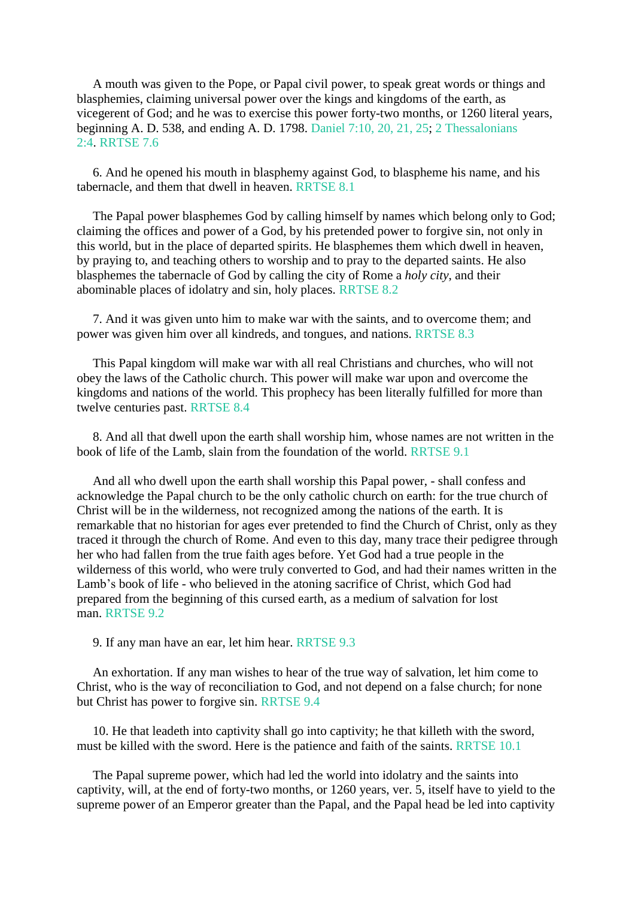A mouth was given to the Pope, or Papal civil power, to speak great words or things and blasphemies, claiming universal power over the kings and kingdoms of the earth, as vicegerent of God; and he was to exercise this power forty-two months, or 1260 literal years, beginning A. D. 538, and ending A. D. 1798. [Daniel](https://m.egwwritings.org/en/book/1965.44773#44773) 7:10, 20, 21, 25; 2 [Thessalonians](https://m.egwwritings.org/en/book/1965.60504#60504) [2:4.](https://m.egwwritings.org/en/book/1965.60504#60504) RRTSE 7.6

6. And he opened his mouth in blasphemy against God, to blaspheme his name, and his tabernacle, and them that dwell in heaven. RRTSE 8.1

The Papal power blasphemes God by calling himself by names which belong only to God; claiming the offices and power of a God, by his pretended power to forgive sin, not only in this world, but in the place of departed spirits. He blasphemes them which dwell in heaven, by praying to, and teaching others to worship and to pray to the departed saints. He also blasphemes the tabernacle of God by calling the city of Rome a *holy city*, and their abominable places of idolatry and sin, holy places. RRTSE 8.2

7. And it was given unto him to make war with the saints, and to overcome them; and power was given him over all kindreds, and tongues, and nations. RRTSE 8.3

This Papal kingdom will make war with all real Christians and churches, who will not obey the laws of the Catholic church. This power will make war upon and overcome the kingdoms and nations of the world. This prophecy has been literally fulfilled for more than twelve centuries past. RRTSE 8.4

8. And all that dwell upon the earth shall worship him, whose names are not written in the book of life of the Lamb, slain from the foundation of the world. RRTSE 9.1

And all who dwell upon the earth shall worship this Papal power, - shall confess and acknowledge the Papal church to be the only catholic church on earth: for the true church of Christ will be in the wilderness, not recognized among the nations of the earth. It is remarkable that no historian for ages ever pretended to find the Church of Christ, only as they traced it through the church of Rome. And even to this day, many trace their pedigree through her who had fallen from the true faith ages before. Yet God had a true people in the wilderness of this world, who were truly converted to God, and had their names written in the Lamb's book of life - who believed in the atoning sacrifice of Christ, which God had prepared from the beginning of this cursed earth, as a medium of salvation for lost man. RRTSE 9.2

9. If any man have an ear, let him hear. RRTSE 9.3

An exhortation. If any man wishes to hear of the true way of salvation, let him come to Christ, who is the way of reconciliation to God, and not depend on a false church; for none but Christ has power to forgive sin. RRTSE 9.4

10. He that leadeth into captivity shall go into captivity; he that killeth with the sword, must be killed with the sword. Here is the patience and faith of the saints. RRTSE 10.1

The Papal supreme power, which had led the world into idolatry and the saints into captivity, will, at the end of forty-two months, or 1260 years, ver. 5, itself have to yield to the supreme power of an Emperor greater than the Papal, and the Papal head be led into captivity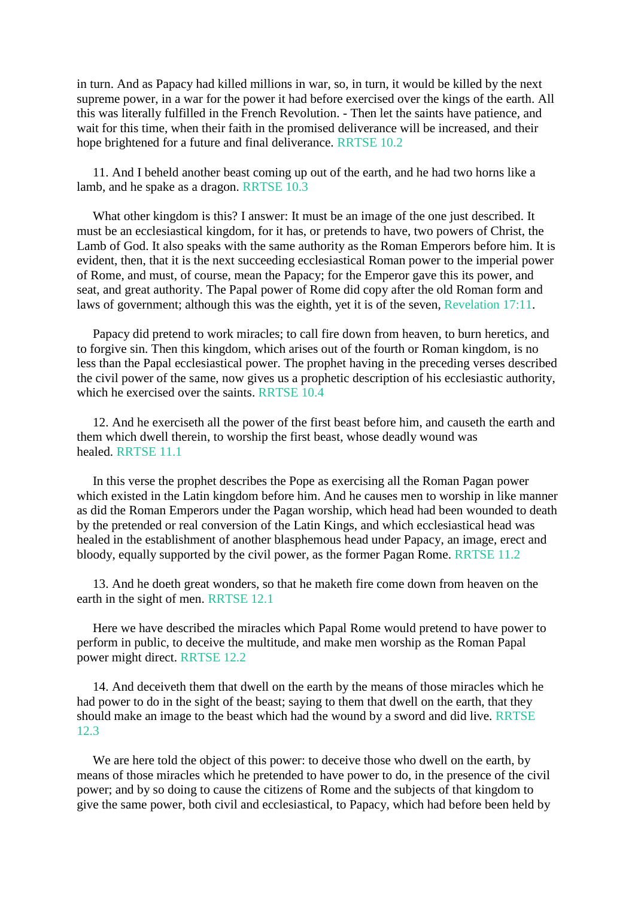in turn. And as Papacy had killed millions in war, so, in turn, it would be killed by the next supreme power, in a war for the power it had before exercised over the kings of the earth. All this was literally fulfilled in the French Revolution. - Then let the saints have patience, and wait for this time, when their faith in the promised deliverance will be increased, and their hope brightened for a future and final deliverance. RRTSE 10.2

11. And I beheld another beast coming up out of the earth, and he had two horns like a lamb, and he spake as a dragon. RRTSE 10.3

What other kingdom is this? I answer: It must be an image of the one just described. It must be an ecclesiastical kingdom, for it has, or pretends to have, two powers of Christ, the Lamb of God. It also speaks with the same authority as the Roman Emperors before him. It is evident, then, that it is the next succeeding ecclesiastical Roman power to the imperial power of Rome, and must, of course, mean the Papacy; for the Emperor gave this its power, and seat, and great authority. The Papal power of Rome did copy after the old Roman form and laws of government; although this was the eighth, yet it is of the seven, [Revelation](https://m.egwwritings.org/en/book/1965.63225#63225) 17:11.

Papacy did pretend to work miracles; to call fire down from heaven, to burn heretics, and to forgive sin. Then this kingdom, which arises out of the fourth or Roman kingdom, is no less than the Papal ecclesiastical power. The prophet having in the preceding verses described the civil power of the same, now gives us a prophetic description of his ecclesiastic authority, which he exercised over the saints. RRTSE 10.4

12. And he exerciseth all the power of the first beast before him, and causeth the earth and them which dwell therein, to worship the first beast, whose deadly wound was healed. RRTSE 11.1

In this verse the prophet describes the Pope as exercising all the Roman Pagan power which existed in the Latin kingdom before him. And he causes men to worship in like manner as did the Roman Emperors under the Pagan worship, which head had been wounded to death by the pretended or real conversion of the Latin Kings, and which ecclesiastical head was healed in the establishment of another blasphemous head under Papacy, an image, erect and bloody, equally supported by the civil power, as the former Pagan Rome. RRTSE 11.2

13. And he doeth great wonders, so that he maketh fire come down from heaven on the earth in the sight of men. RRTSE 12.1

Here we have described the miracles which Papal Rome would pretend to have power to perform in public, to deceive the multitude, and make men worship as the Roman Papal power might direct. RRTSE 12.2

14. And deceiveth them that dwell on the earth by the means of those miracles which he had power to do in the sight of the beast; saying to them that dwell on the earth, that they should make an image to the beast which had the wound by a sword and did live. RRTSE 12.3

We are here told the object of this power: to deceive those who dwell on the earth, by means of those miracles which he pretended to have power to do, in the presence of the civil power; and by so doing to cause the citizens of Rome and the subjects of that kingdom to give the same power, both civil and ecclesiastical, to Papacy, which had before been held by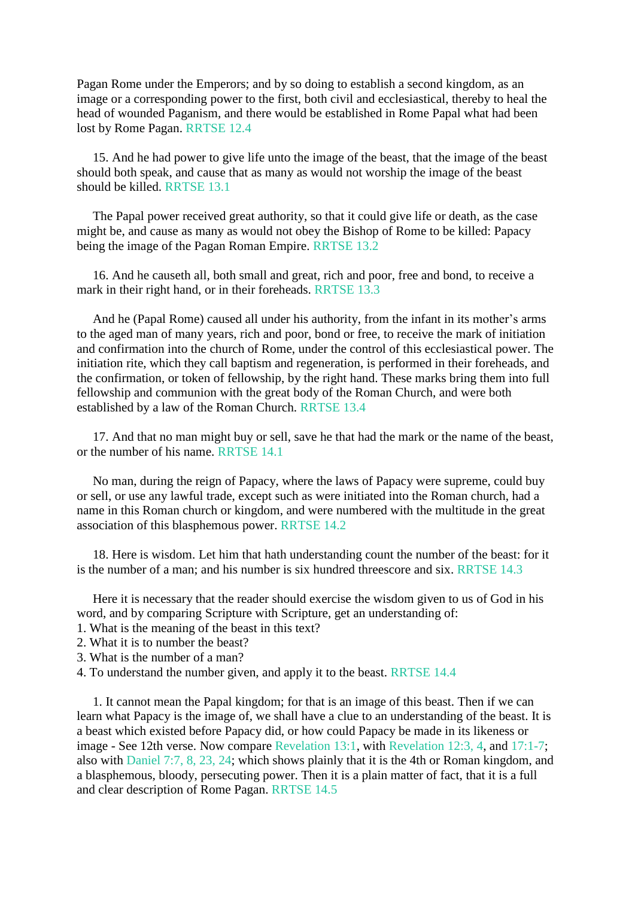Pagan Rome under the Emperors; and by so doing to establish a second kingdom, as an image or a corresponding power to the first, both civil and ecclesiastical, thereby to heal the head of wounded Paganism, and there would be established in Rome Papal what had been lost by Rome Pagan. RRTSE 12.4

15. And he had power to give life unto the image of the beast, that the image of the beast should both speak, and cause that as many as would not worship the image of the beast should be killed. RRTSE 13.1

The Papal power received great authority, so that it could give life or death, as the case might be, and cause as many as would not obey the Bishop of Rome to be killed: Papacy being the image of the Pagan Roman Empire. RRTSE 13.2

16. And he causeth all, both small and great, rich and poor, free and bond, to receive a mark in their right hand, or in their foreheads. RRTSE 13.3

And he (Papal Rome) caused all under his authority, from the infant in its mother's arms to the aged man of many years, rich and poor, bond or free, to receive the mark of initiation and confirmation into the church of Rome, under the control of this ecclesiastical power. The initiation rite, which they call baptism and regeneration, is performed in their foreheads, and the confirmation, or token of fellowship, by the right hand. These marks bring them into full fellowship and communion with the great body of the Roman Church, and were both established by a law of the Roman Church. RRTSE 13.4

17. And that no man might buy or sell, save he that had the mark or the name of the beast, or the number of his name. RRTSE 14.1

No man, during the reign of Papacy, where the laws of Papacy were supreme, could buy or sell, or use any lawful trade, except such as were initiated into the Roman church, had a name in this Roman church or kingdom, and were numbered with the multitude in the great association of this blasphemous power. RRTSE 14.2

18. Here is wisdom. Let him that hath understanding count the number of the beast: for it is the number of a man; and his number is six hundred threescore and six. RRTSE 14.3

Here it is necessary that the reader should exercise the wisdom given to us of God in his word, and by comparing Scripture with Scripture, get an understanding of:

- 1. What is the meaning of the beast in this text?
- 2. What it is to number the beast?
- 3. What is the number of a man?
- 4. To understand the number given, and apply it to the beast. RRTSE 14.4

1. It cannot mean the Papal kingdom; for that is an image of this beast. Then if we can learn what Papacy is the image of, we shall have a clue to an understanding of the beast. It is a beast which existed before Papacy did, or how could Papacy be made in its likeness or image - See 12th verse. Now compare [Revelation](https://m.egwwritings.org/en/book/1965.63067#63067) 13:1, with [Revelation](https://m.egwwritings.org/en/book/1965.63036#63036) 12:3, 4, and [17:1-7;](https://m.egwwritings.org/en/book/1965.63205#63205) also with [Daniel](https://m.egwwritings.org/en/book/1965.44767#44767) 7:7, 8, 23, 24; which shows plainly that it is the 4th or Roman kingdom, and a blasphemous, bloody, persecuting power. Then it is a plain matter of fact, that it is a full and clear description of Rome Pagan. RRTSE 14.5